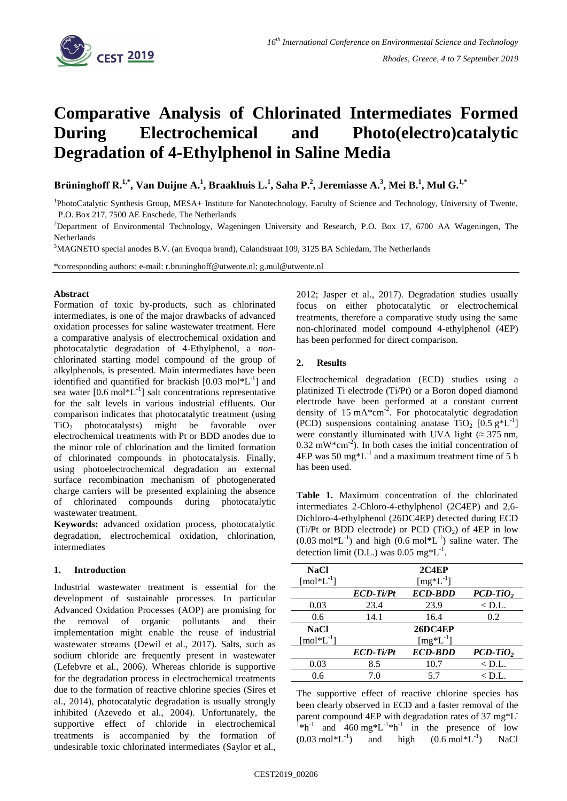

# **Comparative Analysis of Chlorinated Intermediates Formed During Electrochemical and Photo(electro)catalytic Degradation of 4-Ethylphenol in Saline Media**

**Brüninghoff R.1,\*, Van Duijne A. 1 , Braakhuis L.<sup>1</sup> , Saha P.<sup>2</sup> , Jeremiasse A. 3 , Mei B.<sup>1</sup> , Mul G.1,\***

<sup>1</sup>PhotoCatalytic Synthesis Group, MESA+ Institute for Nanotechnology, Faculty of Science and Technology, University of Twente, P.O. Box 217, 7500 AE Enschede, The Netherlands

<sup>2</sup>Department of Environmental Technology, Wageningen University and Research, P.O. Box 17, 6700 AA Wageningen, The Netherlands

<sup>3</sup>MAGNETO special anodes B.V. (an Evoqua brand), Calandstraat 109, 3125 BA Schiedam, The Netherlands

\*corresponding authors: e-mail: r.bruninghoff@utwente.nl; g.mul@utwente.nl

#### **Abstract**

Formation of toxic by-products, such as chlorinated intermediates, is one of the major drawbacks of advanced oxidation processes for saline wastewater treatment. Here a comparative analysis of electrochemical oxidation and photocatalytic degradation of 4-Ethylphenol, a *non*chlorinated starting model compound of the group of alkylphenols, is presented. Main intermediates have been identified and quantified for brackish [0.03 mol\*L<sup>-1</sup>] and sea water  $[0.6 \text{ mol}^*L^{-1}]$  salt concentrations representative for the salt levels in various industrial effluents. Our comparison indicates that photocatalytic treatment (using  $TiO<sub>2</sub>$  photocatalysts) might be favorable over electrochemical treatments with Pt or BDD anodes due to the minor role of chlorination and the limited formation of chlorinated compounds in photocatalysis. Finally, using photoelectrochemical degradation an external surface recombination mechanism of photogenerated charge carriers will be presented explaining the absence of chlorinated compounds during photocatalytic wastewater treatment.

**Keywords:** advanced oxidation process, photocatalytic degradation, electrochemical oxidation, chlorination, intermediates

### **1. Introduction**

Industrial wastewater treatment is essential for the development of sustainable processes. In particular Advanced Oxidation Processes (AOP) are promising for the removal of organic pollutants and their implementation might enable the reuse of industrial wastewater streams (Dewil et al., 2017). Salts, such as sodium chloride are frequently present in wastewater (Lefebvre et al., 2006). Whereas chloride is supportive for the degradation process in electrochemical treatments due to the formation of reactive chlorine species (Sires et al., 2014), photocatalytic degradation is usually strongly inhibited (Azevedo et al., 2004). Unfortunately, the supportive effect of chloride in electrochemical treatments is accompanied by the formation of undesirable toxic chlorinated intermediates (Saylor et al., 2012; Jasper et al., 2017). Degradation studies usually focus on either photocatalytic or electrochemical treatments, therefore a comparative study using the same non-chlorinated model compound 4-ethylphenol (4EP) has been performed for direct comparison.

## **2. Results**

Electrochemical degradation (ECD) studies using a platinized Ti electrode (Ti/Pt) or a Boron doped diamond electrode have been performed at a constant current density of 15 mA $*$ cm<sup>-2</sup>. For photocatalytic degradation (PCD) suspensions containing anatase TiO<sub>2</sub> [0.5  $g*L^{-1}$ ] were constantly illuminated with UVA light ( $\approx$  375 nm,  $0.32 \text{ mW}^* \text{cm}^{-2}$ ). In both cases the initial concentration of  $4EP$  was 50 mg<sup>\*</sup>L<sup>-1</sup> and a maximum treatment time of 5 h has been used.

**Table 1.** Maximum concentration of the chlorinated intermediates 2-Chloro-4-ethylphenol (2C4EP) and 2,6- Dichloro-4-ethylphenol (26DC4EP) detected during ECD (Ti/Pt or BDD electrode) or PCD (TiO<sub>2</sub>) of 4EP in low  $(0.03 \text{ mol}^*L^{-1})$  and high  $(0.6 \text{ mol}^*L^{-1})$  saline water. The detection limit (D.L.) was 0.05 mg\*L<sup>-1</sup>.

| <b>NaCl</b>                 |             | 2C4EP          |                |
|-----------------------------|-------------|----------------|----------------|
| $[mol^*L^{-1}]$             |             | $[mg^*L^{-1}]$ |                |
|                             | $ECD-Ti/Pt$ | <b>ECD-BDD</b> | $PCD-TiO2$     |
| 0.03                        | 23.4        | 23.9           | $<$ D.L.       |
| 0.6                         | 14.1        | 16.4           | 0.2            |
| <b>NaCl</b>                 |             | 26DC4EP        |                |
| $\lceil mol^*L^{-1} \rceil$ |             | $[mg^*L^{-1}]$ |                |
|                             | $ECD-Ti/Pt$ | <b>ECD-BDD</b> | $PCD-TiO,$     |
| 0.03                        | 8.5         | 10.7           | $\langle$ D.L. |
| 0.6                         | 7.0         | 57             | $\rm < D.L.$   |

The supportive effect of reactive chlorine species has been clearly observed in ECD and a faster removal of the parent compound 4EP with degradation rates of 37 mg\*L<sup>-</sup> <sup>1</sup>\*h<sup>-1</sup> and 460 mg\*L<sup>-1</sup>\*h<sup>-1</sup> in the presence of low  $(0.03 \text{ mol}^*\text{L}^{-1})$ and high  $(0.6 \text{ mol}^{*}L^{-1})$ ) NaCl